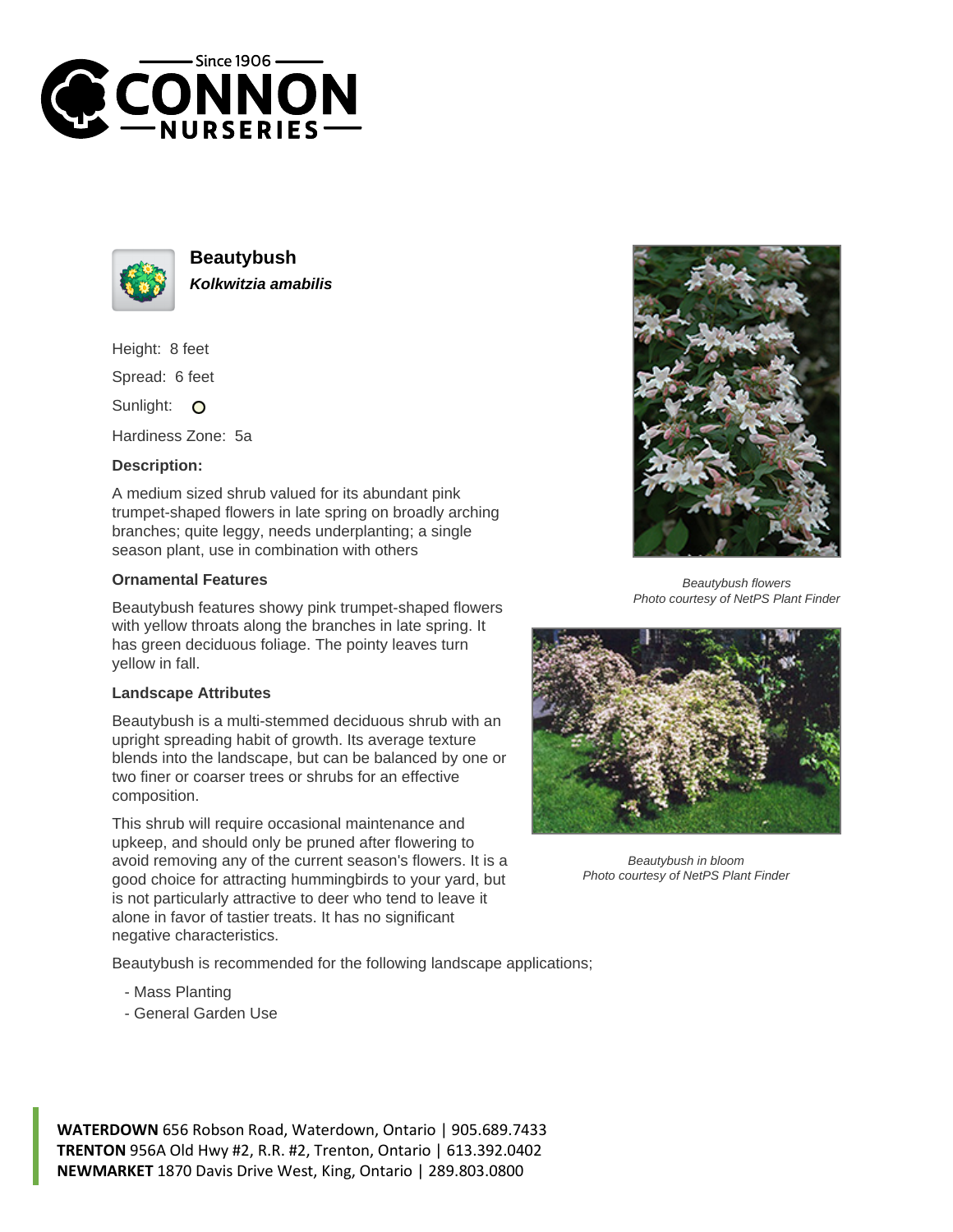



**Beautybush Kolkwitzia amabilis**

Height: 8 feet

Spread: 6 feet

Sunlight: O

Hardiness Zone: 5a

## **Description:**

A medium sized shrub valued for its abundant pink trumpet-shaped flowers in late spring on broadly arching branches; quite leggy, needs underplanting; a single season plant, use in combination with others

## **Ornamental Features**

Beautybush features showy pink trumpet-shaped flowers with yellow throats along the branches in late spring. It has green deciduous foliage. The pointy leaves turn yellow in fall.

## **Landscape Attributes**

Beautybush is a multi-stemmed deciduous shrub with an upright spreading habit of growth. Its average texture blends into the landscape, but can be balanced by one or two finer or coarser trees or shrubs for an effective composition.

This shrub will require occasional maintenance and upkeep, and should only be pruned after flowering to avoid removing any of the current season's flowers. It is a good choice for attracting hummingbirds to your yard, but is not particularly attractive to deer who tend to leave it alone in favor of tastier treats. It has no significant negative characteristics.

Beautybush is recommended for the following landscape applications;

- Mass Planting
- General Garden Use



Beautybush flowers Photo courtesy of NetPS Plant Finder



Beautybush in bloom Photo courtesy of NetPS Plant Finder

**WATERDOWN** 656 Robson Road, Waterdown, Ontario | 905.689.7433 **TRENTON** 956A Old Hwy #2, R.R. #2, Trenton, Ontario | 613.392.0402 **NEWMARKET** 1870 Davis Drive West, King, Ontario | 289.803.0800